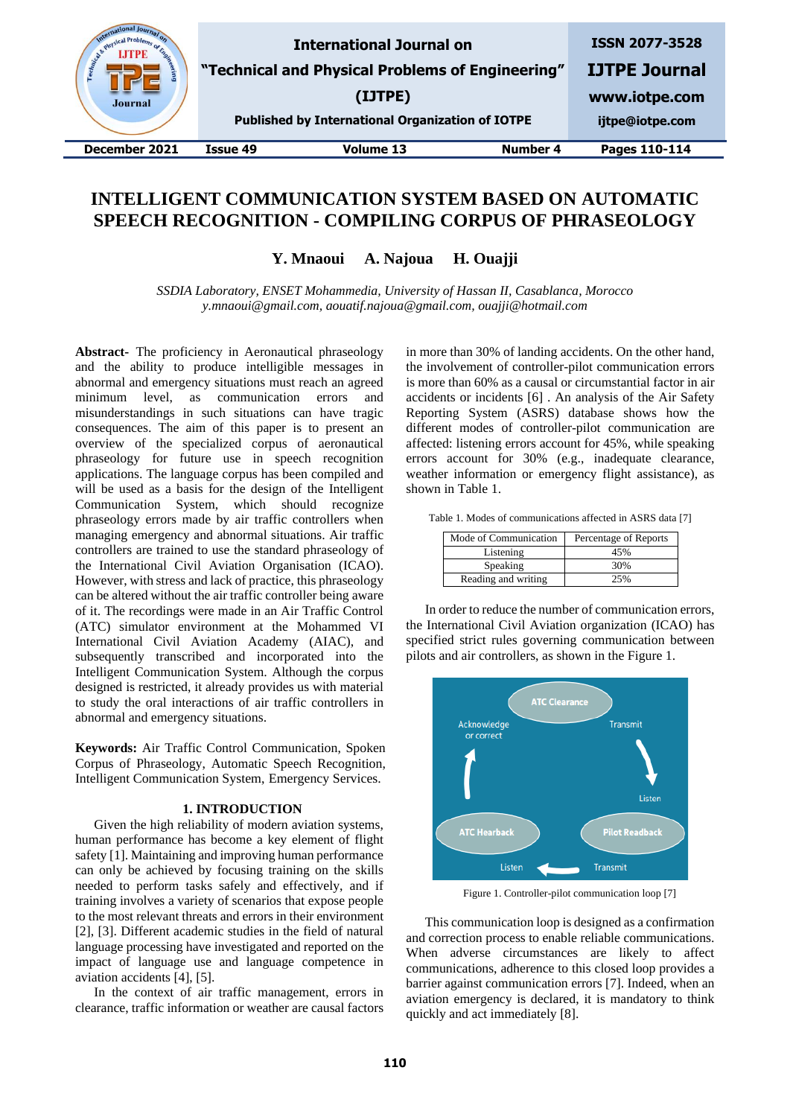| & Physics'<br>Engineer La<br><b>Journal</b> |          | <b>International Journal on</b><br>"Technical and Physical Problems of Engineering"<br>(IJTPE)<br><b>Published by International Organization of IOTPE</b> |                 | <b>ISSN 2077-3528</b><br><b>IJTPE Journal</b><br>www.iotpe.com<br>ijtpe@iotpe.com |
|---------------------------------------------|----------|-----------------------------------------------------------------------------------------------------------------------------------------------------------|-----------------|-----------------------------------------------------------------------------------|
| December 2021                               | Issue 49 | <b>Volume 13</b>                                                                                                                                          | <b>Number 4</b> | Pages 110-114                                                                     |
|                                             |          |                                                                                                                                                           |                 |                                                                                   |

# **INTELLIGENT COMMUNICATION SYSTEM BASED ON AUTOMATIC SPEECH RECOGNITION - COMPILING CORPUS OF PHRASEOLOGY**

**Y. Mnaoui A. Najoua H. Ouajji**

*SSDIA Laboratory, ENSET Mohammedia, University of Hassan II, Casablanca, Morocco y.mnaoui@gmail.com, aouatif.najoua@gmail.com, ouajji@hotmail.com*

**Abstract-** The proficiency in Aeronautical phraseology and the ability to produce intelligible messages in abnormal and emergency situations must reach an agreed minimum level, as communication errors and misunderstandings in such situations can have tragic consequences. The aim of this paper is to present an overview of the specialized corpus of aeronautical phraseology for future use in speech recognition applications. The language corpus has been compiled and will be used as a basis for the design of the Intelligent Communication System, which should recognize phraseology errors made by air traffic controllers when managing emergency and abnormal situations. Air traffic controllers are trained to use the standard phraseology of the International Civil Aviation Organisation (ICAO). However, with stress and lack of practice, this phraseology can be altered without the air traffic controller being aware of it. The recordings were made in an Air Traffic Control (ATC) simulator environment at the Mohammed VI International Civil Aviation Academy (AIAC), and subsequently transcribed and incorporated into the Intelligent Communication System. Although the corpus designed is restricted, it already provides us with material to study the oral interactions of air traffic controllers in abnormal and emergency situations.

**Keywords:** Air Traffic Control Communication, Spoken Corpus of Phraseology, Automatic Speech Recognition, Intelligent Communication System, Emergency Services.

## **1. INTRODUCTION**

Given the high reliability of modern aviation systems, human performance has become a key element of flight safety [1]. Maintaining and improving human performance can only be achieved by focusing training on the skills needed to perform tasks safely and effectively, and if training involves a variety of scenarios that expose people to the most relevant threats and errors in their environment [2], [3]. Different academic studies in the field of natural language processing have investigated and reported on the impact of language use and language competence in aviation accidents [4], [5].

In the context of air traffic management, errors in clearance, traffic information or weather are causal factors

in more than 30% of landing accidents. On the other hand, the involvement of controller-pilot communication errors is more than 60% as a causal or circumstantial factor in air accidents or incidents [6] . An analysis of the Air Safety Reporting System (ASRS) database shows how the different modes of controller-pilot communication are affected: listening errors account for 45%, while speaking errors account for 30% (e.g., inadequate clearance, weather information or emergency flight assistance), as shown in Table 1.

Table 1. Modes of communications affected in ASRS data [7]

| Mode of Communication | Percentage of Reports |  |  |  |  |
|-----------------------|-----------------------|--|--|--|--|
| Listening             | 45%                   |  |  |  |  |
| Speaking              | 30%                   |  |  |  |  |
| Reading and writing   |                       |  |  |  |  |

In order to reduce the number of communication errors, the International Civil Aviation organization (ICAO) has specified strict rules governing communication between pilots and air controllers, as shown in the Figure 1.



Figure 1. Controller-pilot communication loop [7]

This communication loop is designed as a confirmation and correction process to enable reliable communications. When adverse circumstances are likely to affect communications, adherence to this closed loop provides a barrier against communication errors [7]. Indeed, when an aviation emergency is declared, it is mandatory to think quickly and act immediately [8].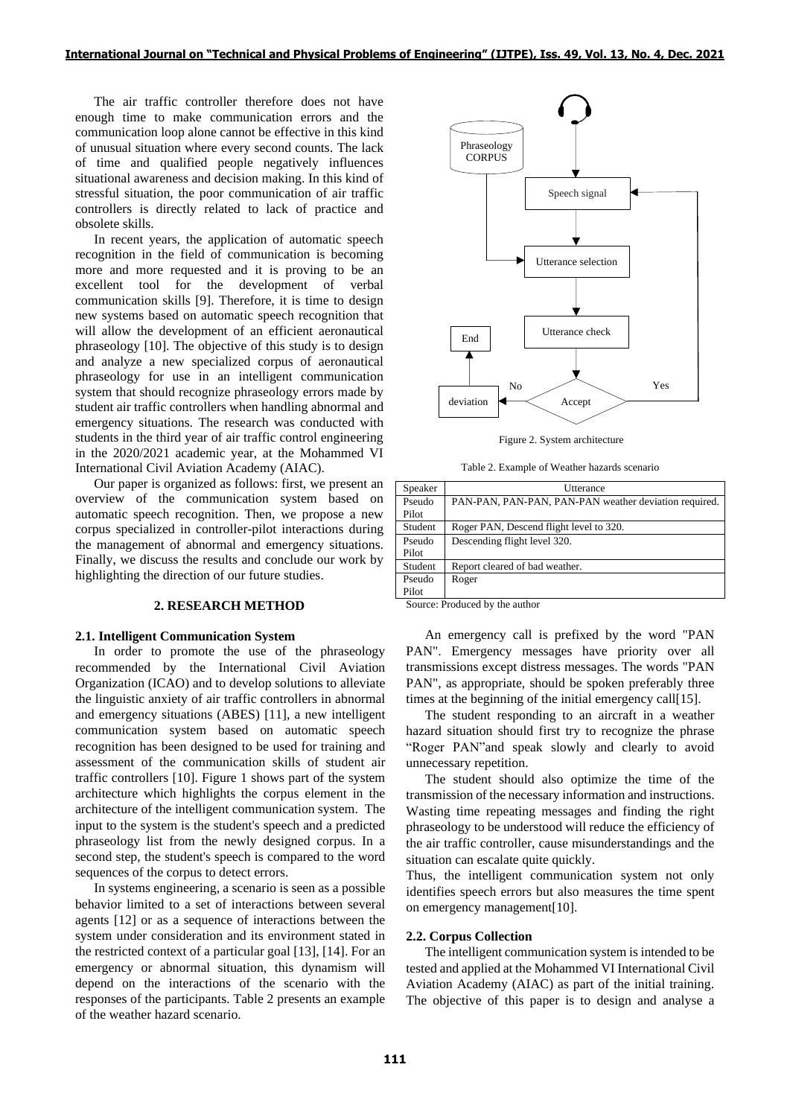The air traffic controller therefore does not have enough time to make communication errors and the communication loop alone cannot be effective in this kind of unusual situation where every second counts. The lack of time and qualified people negatively influences situational awareness and decision making. In this kind of stressful situation, the poor communication of air traffic controllers is directly related to lack of practice and obsolete skills.

In recent years, the application of automatic speech recognition in the field of communication is becoming more and more requested and it is proving to be an excellent tool for the development of verbal communication skills [9]. Therefore, it is time to design new systems based on automatic speech recognition that will allow the development of an efficient aeronautical phraseology [10]. The objective of this study is to design and analyze a new specialized corpus of aeronautical phraseology for use in an intelligent communication system that should recognize phraseology errors made by student air traffic controllers when handling abnormal and emergency situations. The research was conducted with students in the third year of air traffic control engineering in the 2020/2021 academic year, at the Mohammed VI International Civil Aviation Academy (AIAC).

Our paper is organized as follows: first, we present an overview of the communication system based on automatic speech recognition. Then, we propose a new corpus specialized in controller-pilot interactions during the management of abnormal and emergency situations. Finally, we discuss the results and conclude our work by highlighting the direction of our future studies.

## **2. RESEARCH METHOD**

#### **2.1. Intelligent Communication System**

In order to promote the use of the phraseology recommended by the International Civil Aviation Organization (ICAO) and to develop solutions to alleviate the linguistic anxiety of air traffic controllers in abnormal and emergency situations (ABES) [11], a new intelligent communication system based on automatic speech recognition has been designed to be used for training and assessment of the communication skills of student air traffic controllers [10]. Figure 1 shows part of the system architecture which highlights the corpus element in the architecture of the intelligent communication system. The input to the system is the student's speech and a predicted phraseology list from the newly designed corpus. In a second step, the student's speech is compared to the word sequences of the corpus to detect errors.

In systems engineering, a scenario is seen as a possible behavior limited to a set of interactions between several agents [12] or as a sequence of interactions between the system under consideration and its environment stated in the restricted context of a particular goal [13], [14]. For an emergency or abnormal situation, this dynamism will depend on the interactions of the scenario with the responses of the participants. Table 2 presents an example of the weather hazard scenario.



Figure 2. System architecture

Table 2. Example of Weather hazards scenario

| Speaker         | Utterance                                             |
|-----------------|-------------------------------------------------------|
| Pseudo<br>Pilot | PAN-PAN, PAN-PAN, PAN-PAN weather deviation required. |
| Student         | Roger PAN, Descend flight level to 320.               |
| Pseudo          |                                                       |
| Pilot           | Descending flight level 320.                          |
| Student         | Report cleared of bad weather.                        |
| Pseudo          | Roger                                                 |
| Pilot           |                                                       |

Source: Produced by the author

An emergency call is prefixed by the word "PAN PAN". Emergency messages have priority over all transmissions except distress messages. The words "PAN PAN", as appropriate, should be spoken preferably three times at the beginning of the initial emergency call[15].

The student responding to an aircraft in a weather hazard situation should first try to recognize the phrase "Roger PAN"and speak slowly and clearly to avoid unnecessary repetition.

The student should also optimize the time of the transmission of the necessary information and instructions. Wasting time repeating messages and finding the right phraseology to be understood will reduce the efficiency of the air traffic controller, cause misunderstandings and the situation can escalate quite quickly.

Thus, the intelligent communication system not only identifies speech errors but also measures the time spent on emergency management[10].

### **2.2. Corpus Collection**

The intelligent communication system is intended to be tested and applied at the Mohammed VI International Civil Aviation Academy (AIAC) as part of the initial training. The objective of this paper is to design and analyse a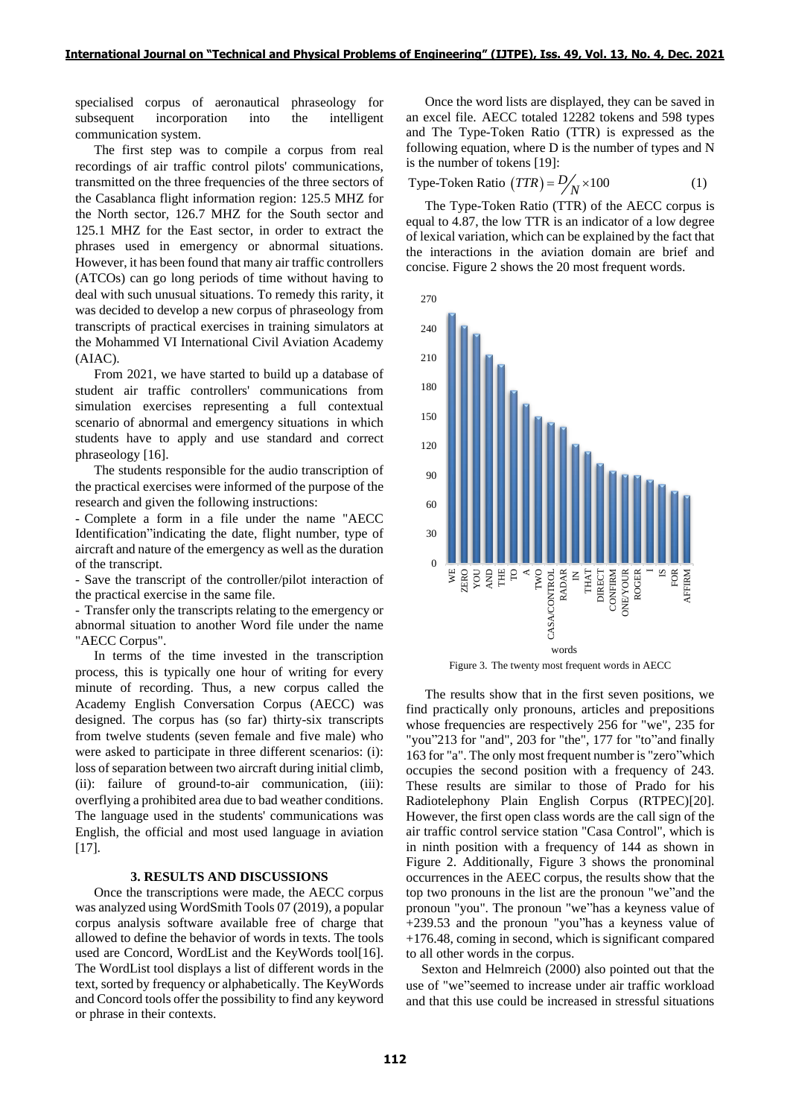specialised corpus of aeronautical phraseology for subsequent incorporation into the intelligent communication system.

The first step was to compile a corpus from real recordings of air traffic control pilots' communications, transmitted on the three frequencies of the three sectors of the Casablanca flight information region: 125.5 MHZ for the North sector, 126.7 MHZ for the South sector and 125.1 MHZ for the East sector, in order to extract the phrases used in emergency or abnormal situations. However, it has been found that many air traffic controllers (ATCOs) can go long periods of time without having to deal with such unusual situations. To remedy this rarity, it was decided to develop a new corpus of phraseology from transcripts of practical exercises in training simulators at the Mohammed VI International Civil Aviation Academy (AIAC).

From 2021, we have started to build up a database of student air traffic controllers' communications from simulation exercises representing a full contextual scenario of abnormal and emergency situations in which students have to apply and use standard and correct phraseology [16].

The students responsible for the audio transcription of the practical exercises were informed of the purpose of the research and given the following instructions:

- Complete a form in a file under the name "AECC Identification"indicating the date, flight number, type of aircraft and nature of the emergency as well as the duration of the transcript.

- Save the transcript of the controller/pilot interaction of the practical exercise in the same file.

- Transfer only the transcripts relating to the emergency or abnormal situation to another Word file under the name "AECC Corpus".

In terms of the time invested in the transcription process, this is typically one hour of writing for every minute of recording. Thus, a new corpus called the Academy English Conversation Corpus (AECC) was designed. The corpus has (so far) thirty-six transcripts from twelve students (seven female and five male) who were asked to participate in three different scenarios: (i): loss of separation between two aircraft during initial climb, (ii): failure of ground-to-air communication, (iii): overflying a prohibited area due to bad weather conditions. The language used in the students' communications was English, the official and most used language in aviation [17].

## **3. RESULTS AND DISCUSSIONS**

Once the transcriptions were made, the AECC corpus was analyzed using WordSmith Tools 07 (2019), a popular corpus analysis software available free of charge that allowed to define the behavior of words in texts. The tools used are Concord, WordList and the KeyWords tool[16]. The WordList tool displays a list of different words in the text, sorted by frequency or alphabetically. The KeyWords and Concord tools offer the possibility to find any keyword or phrase in their contexts.

Once the word lists are displayed, they can be saved in an excel file. AECC totaled 12282 tokens and 598 types and The Type-Token Ratio (TTR) is expressed as the following equation, where D is the number of types and N is the number of tokens [19]:

Type-Token Ratio 
$$
(TTR) = D/N \times 100
$$
 (1)

The Type-Token Ratio (TTR) of the AECC corpus is equal to 4.87, the low TTR is an indicator of a low degree of lexical variation, which can be explained by the fact that the interactions in the aviation domain are brief and concise. Figure 2 shows the 20 most frequent words.



Figure 3. The twenty most frequent words in AECC

The results show that in the first seven positions, we find practically only pronouns, articles and prepositions whose frequencies are respectively 256 for "we", 235 for "you"213 for "and", 203 for "the", 177 for "to"and finally 163 for "a". The only most frequent number is "zero"which occupies the second position with a frequency of 243. These results are similar to those of Prado for his Radiotelephony Plain English Corpus (RTPEC)[20]. However, the first open class words are the call sign of the air traffic control service station "Casa Control", which is in ninth position with a frequency of 144 as shown in Figure 2. Additionally, Figure 3 shows the pronominal occurrences in the AEEC corpus, the results show that the top two pronouns in the list are the pronoun "we"and the pronoun "you". The pronoun "we"has a keyness value of +239.53 and the pronoun "you"has a keyness value of +176.48, coming in second, which is significant compared to all other words in the corpus.

Sexton and Helmreich (2000) also pointed out that the use of "we"seemed to increase under air traffic workload and that this use could be increased in stressful situations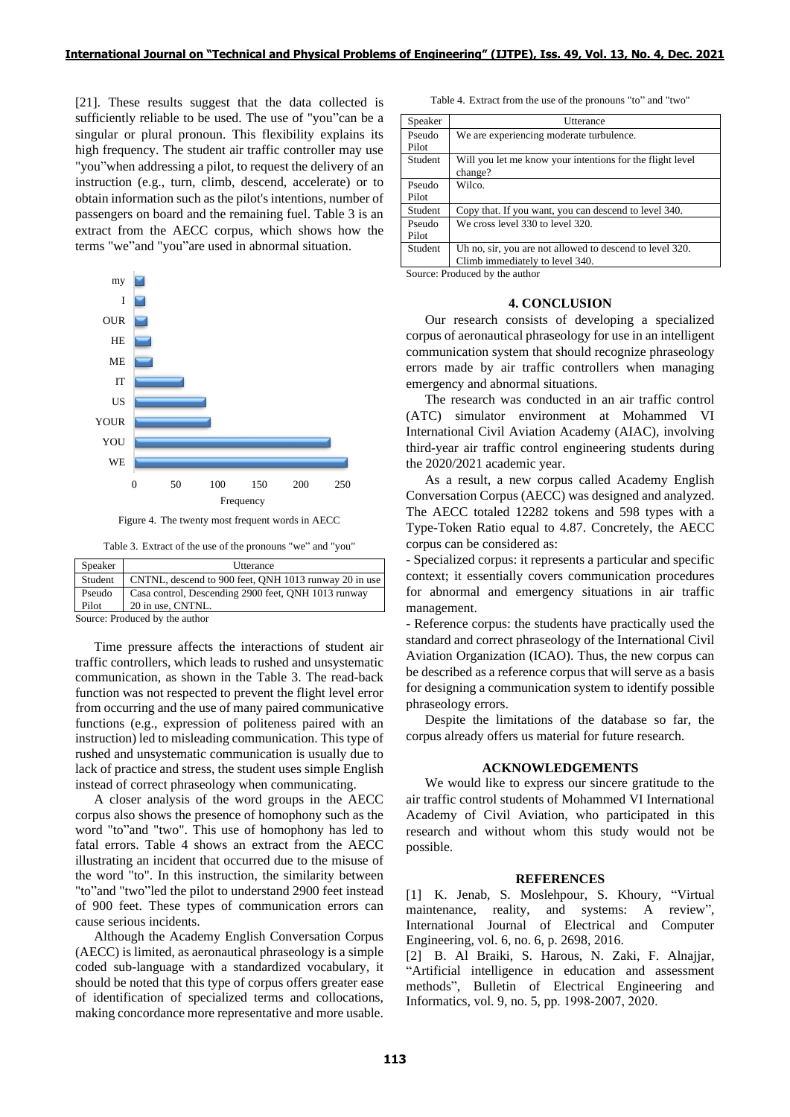[21]. These results suggest that the data collected is sufficiently reliable to be used. The use of "you"can be a singular or plural pronoun. This flexibility explains its high frequency. The student air traffic controller may use "you"when addressing a pilot, to request the delivery of an instruction (e.g., turn, climb, descend, accelerate) or to obtain information such as the pilot's intentions, number of passengers on board and the remaining fuel. Table 3 is an extract from the AECC corpus, which shows how the terms "we"and "you"are used in abnormal situation.



Figure 4. The twenty most frequent words in AECC

|  |  |  |  |  |  |  | Table 3. Extract of the use of the pronouns "we" and "you" |  |  |  |
|--|--|--|--|--|--|--|------------------------------------------------------------|--|--|--|
|--|--|--|--|--|--|--|------------------------------------------------------------|--|--|--|

| Speaker | Utterance                                             |
|---------|-------------------------------------------------------|
| Student | CNTNL, descend to 900 feet, ONH 1013 runway 20 in use |
| Pseudo  | Casa control, Descending 2900 feet, QNH 1013 runway   |
| Pilot   | 20 in use, CNTNL.                                     |

Source: Produced by the author

Time pressure affects the interactions of student air traffic controllers, which leads to rushed and unsystematic communication, as shown in the Table 3. The read-back function was not respected to prevent the flight level error from occurring and the use of many paired communicative functions (e.g., expression of politeness paired with an instruction) led to misleading communication. This type of rushed and unsystematic communication is usually due to lack of practice and stress, the student uses simple English instead of correct phraseology when communicating.

A closer analysis of the word groups in the AECC corpus also shows the presence of homophony such as the word "to"and "two". This use of homophony has led to fatal errors. Table 4 shows an extract from the AECC illustrating an incident that occurred due to the misuse of the word "to". In this instruction, the similarity between "to"and "two"led the pilot to understand 2900 feet instead of 900 feet. These types of communication errors can cause serious incidents.

Although the Academy English Conversation Corpus (AECC) is limited, as aeronautical phraseology is a simple coded sub-language with a standardized vocabulary, it should be noted that this type of corpus offers greater ease of identification of specialized terms and collocations, making concordance more representative and more usable.

Table 4. Extract from the use of the pronouns "to" and "two"

| Speaker         | Utterance                                                                                   |
|-----------------|---------------------------------------------------------------------------------------------|
| Pseudo<br>Pilot | We are experiencing moderate turbulence.                                                    |
| Student         | Will you let me know your intentions for the flight level<br>change?                        |
| Pseudo<br>Pilot | Wilco.                                                                                      |
| Student         | Copy that. If you want, you can descend to level 340.                                       |
| Pseudo<br>Pilot | We cross level 330 to level 320.                                                            |
| Student         | Uh no, sir, you are not allowed to descend to level 320.<br>Climb immediately to level 340. |

Source: Produced by the author

## **4. CONCLUSION**

Our research consists of developing a specialized corpus of aeronautical phraseology for use in an intelligent communication system that should recognize phraseology errors made by air traffic controllers when managing emergency and abnormal situations.

The research was conducted in an air traffic control (ATC) simulator environment at Mohammed VI International Civil Aviation Academy (AIAC), involving third-year air traffic control engineering students during the 2020/2021 academic year.

As a result, a new corpus called Academy English Conversation Corpus (AECC) was designed and analyzed. The AECC totaled 12282 tokens and 598 types with a Type-Token Ratio equal to 4.87. Concretely, the AECC corpus can be considered as:

- Specialized corpus: it represents a particular and specific context; it essentially covers communication procedures for abnormal and emergency situations in air traffic management.

- Reference corpus: the students have practically used the standard and correct phraseology of the International Civil Aviation Organization (ICAO). Thus, the new corpus can be described as a reference corpus that will serve as a basis for designing a communication system to identify possible phraseology errors.

Despite the limitations of the database so far, the corpus already offers us material for future research.

### **ACKNOWLEDGEMENTS**

We would like to express our sincere gratitude to the air traffic control students of Mohammed VI International Academy of Civil Aviation, who participated in this research and without whom this study would not be possible.

#### **REFERENCES**

[1] K. Jenab, S. Moslehpour, S. Khoury, "Virtual maintenance, reality, and systems: A review", International Journal of Electrical and Computer Engineering, vol. 6, no. 6, p. 2698, 2016.

[2] B. Al Braiki, S. Harous, N. Zaki, F. Alnajjar, "Artificial intelligence in education and assessment methods", Bulletin of Electrical Engineering and Informatics, vol. 9, no. 5, pp. 1998‑2007, 2020.